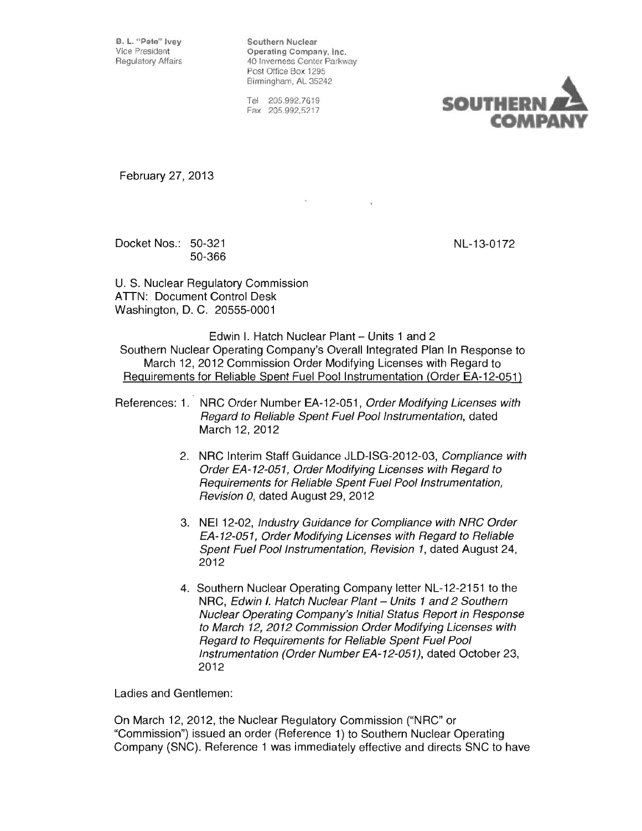B. L. "Pete" Ivey Southern Nuclear<br>Vice President Company Southern Nuclear Operating Company, Inc. Regulatory Affairs **40 Inverness Center Parkway** Post Office Box 1295 Birmingham, AL 35242

> Tel 205.992.7619 Fax 205.992.5217



February 27,2013

Docket Nos.: 50-321 NL-13-0172 50-366

U. S. Nuclear Regulatory Commission ATTN: Document Control Desk Washington, D. C. 20555-0001

Edwin I. Hatch Nuclear Plant - Units 1 and 2 Southern Nuclear Operating Company's Overall Integrated Plan In Response to March 12, 2012 Commission Order Modifying Licenses with Regard to Requirements for Reliable Spent Fuel Pool Instrumentation (Order EA-12-051)

References: 1. NRC Order Number EA-12-051, Order Modifying Licenses with Regard to Reliable Spent Fuel Pool Instrumentation, dated March 12, 2012

- 2. NRC Interim Staff Guidance JLD-ISG-2012-03, Compliance with Order EA-12-0S1, Order Modifying Licenses with Regard to Requirements for Reliable Spent Fuel Pool Instrumentation, Revision 0, dated August 29, 2012
- 3. NEI 12-02, Industry Guidance for Compliance with NRC Order EA-12-0S1, Order Modifying Licenses with Regard to Reliable Spent Fuel Pool Instrumentation, Revision 1, dated August 24, 2012
- 4. Southern Nuclear Operating Company letter NL-12-2151 to the NRC, Edwin I. Hatch Nuclear Plant - Units 1 and 2 Southern Nuclear Operating Company's Initial Status Report in Response to March 12, 2012 Commission Order Modifying Licenses with Regard to Requirements for Reliable Spent Fuel Pool Instrumentation (Order Number EA-12-0S1), dated October 23, 2012

Ladies and Gentlemen:

On March 12,2012, the Nuclear Regulatory Commission ("NRC" or "Commission") issued an order (Reference 1) to Southern Nuclear Operating Company (SNC). Reference 1 was immediately effective and directs SNC to have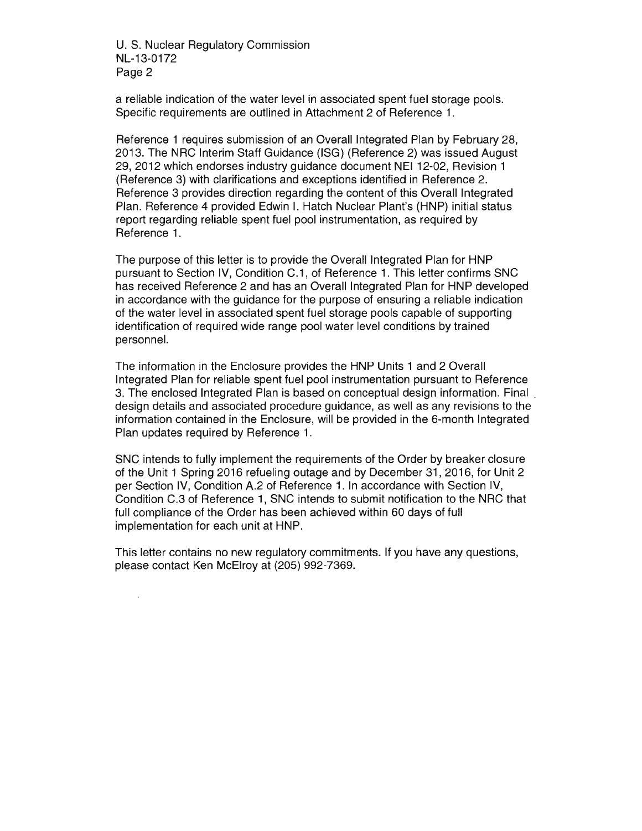U. S. Nuclear Regulatory Commission NL-13-0172 Page 2

a reliable indication of the water level in associated spent fuel storage pools. Specific requirements are outlined in Attachment 2 of Reference 1.

Reference 1 requires submission of an Overall Integrated Plan by February 28, 2013. The NRC Interim Staff Guidance (ISG) (Reference 2) was issued August 29, 2012 which endorses industry guidance document NEI 12-02, Revision 1 (Reference 3) with clarifications and exceptions identified in Reference 2. Reference 3 provides direction regarding the content of this Overall Integrated Plan. Reference 4 provided Edwin I. Hatch Nuclear Plant's (HNP) initial status report regarding reliable spent fuel pool instrumentation, as required by Reference 1.

The purpose of this letter is to provide the Overall Integrated Plan for HNP pursuant to Section IV, Condition C.1, of Reference 1. This letter confirms SNC has received Reference 2 and has an Overall Integrated Plan for HNP developed in accordance with the guidance for the purpose of ensuring a reliable indication of the water level in associated spent fuel storage pools capable of supporting identification of required wide range pool water level conditions by trained personnel.

The information in the Enclosure provides the HNP Units 1 and 2 Overall Integrated Plan for reliable spent fuel pool instrumentation pursuant to Reference 3. The enclosed Integrated Plan is based on conceptual design information. Final. design details and associated procedure guidance, as well as any revisions to the information contained in the Enclosure, will be provided in the 6-month Integrated Plan updates required by Reference 1.

SNC intends to fully implement the requirements of the Order by breaker closure of the Unit 1 Spring 2016 refueling outage and by December 31, 2016, for Unit 2 per Section IV, Condition A.2 of Reference 1. In accordance with Section IV, Condition C.3 of Reference 1, SNC intends to submit notification to the NRC that full compliance of the Order has been achieved within 60 days of full implementation for each unit at HNP.

This letter contains no new regulatory commitments. If you have any questions, please contact Ken McElroy at (205) 992-7369.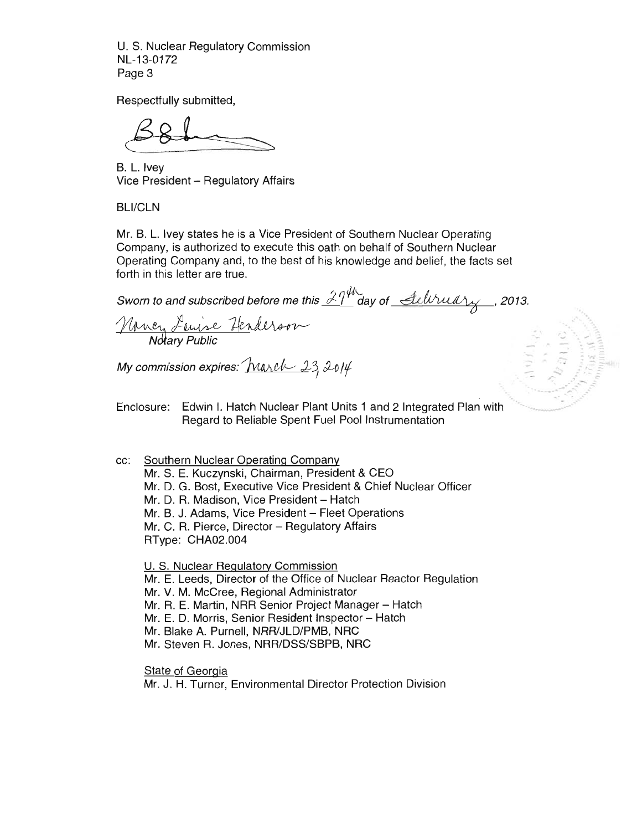U. S. Nuclear Regulatory Commission NL-13-0172 Page 3

Respectfully submitted,

B. L. Ivey Vice President - Regulatory Affairs

BLl/CLN

Mr. B. L. Ivey states he is a Vice President of Southern Nuclear Operating Company, is authorized to execute this oath on behalf of Southern Nuclear Operating Company and, to the best of his knowledge and belief, the facts set forth in this letter are true.

Sworn to and subscribed before me this  $\frac{\partial \eta^{\mu}}{\partial}$  day of  $\frac{\partial \mu_{\nu}}{\partial}$  *full Yuully*, 2013. Muncy Lewise Henderson

**..-, ..** 

My commission expires:  $\boxed{\text{Maxel} \quad 23,2014}$ 

Enclosure: Edwin I. Hatch Nuclear Plant Units 1 and 2 Integrated Plan with Regard to Reliable Spent Fuel Pool Instrumentation

cc: Southern Nuclear Operating Company Mr. S. E. Kuczynski, Chairman, President & CEO Mr. D. G. Bost, Executive Vice President & Chief Nuclear Officer Mr. D. R. Madison, Vice President - Hatch Mr. B. J. Adams, Vice President - Fleet Operations  $Mr. C. R. Pierce, Director – Regularory Affairs$ RType: CHA02.004

U. S. Nuclear Regulatory Commission Mr. E. Leeds, Director of the Office of Nuclear Reactor Regulation Mr. V. M. McCree, Regional Administrator Mr. R. E. Martin, NRR Senior Project Manager - Hatch Mr. E. D. Morris, Senior Resident Inspector - Hatch Mr. Blake A. Purnell, NRR/JLD/PMB, NRC Mr. Steven R. Jones, NRR/DSS/SBPB, NRC

**State of Georgia** Mr. J. H. Turner, Environmental Director Protection Division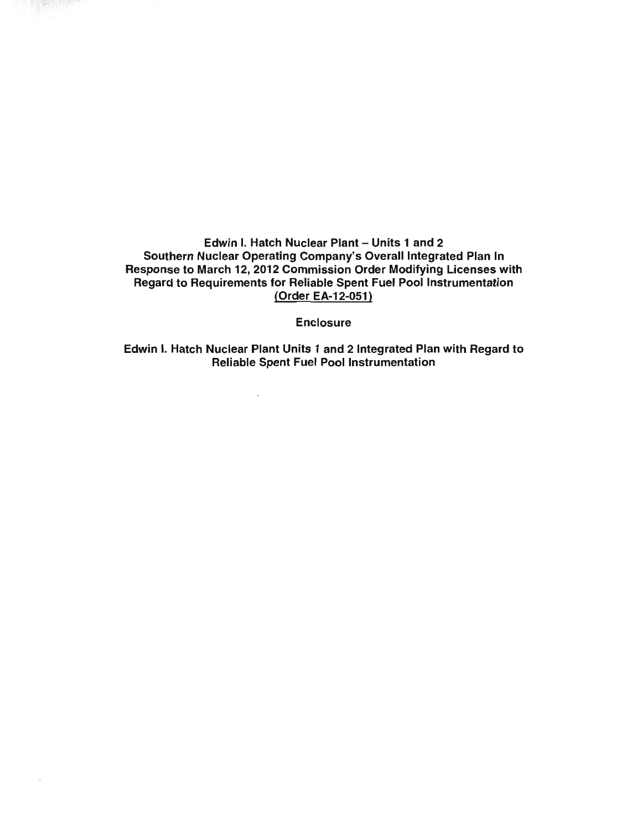Edwin I. Hatch Nuclear Plant – Units 1 and 2 Southern Nuclear Operating Company's Overall Integrated Plan In Response to March 12, 2012 Commission Order Modifying Licenses with Regard to Requirements for Reliable Spent Fuel Pool Instrumentation (Order EA-12-051)

**Enclosure** 

Edwin I. Hatch Nuclear Plant Units 1 and 2 Integrated Plan with Regard to Reliable Spent Fuel Pool Instrumentation

 $\overline{\phantom{a}}$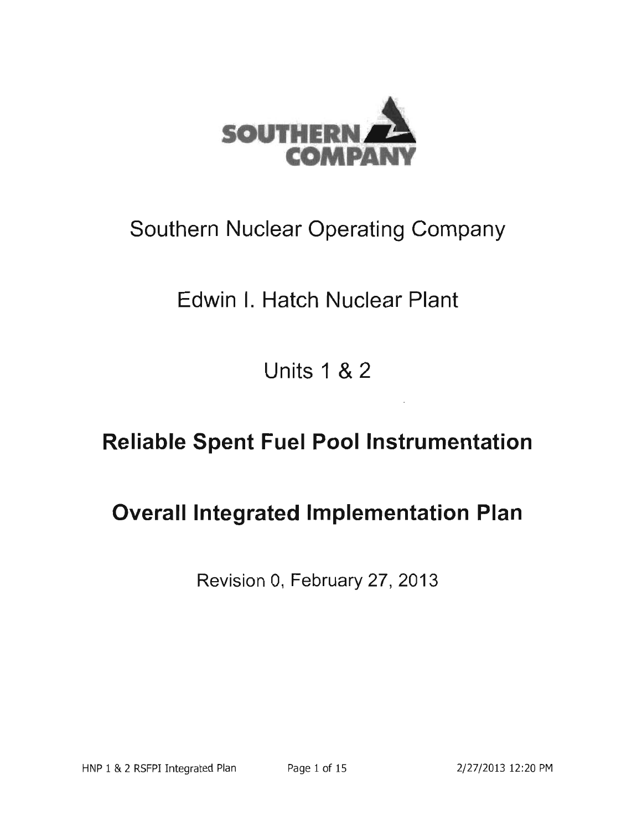

# **Southern Nuclear Operating Company**

# **Edwin I. Hatch Nuclear Plant**

**Units 1 &2** 

# **Reliable Spent Fuel Pool Instrumentation**

# **Overall Integrated Implementation Plan**

Revision 0, February 27,2013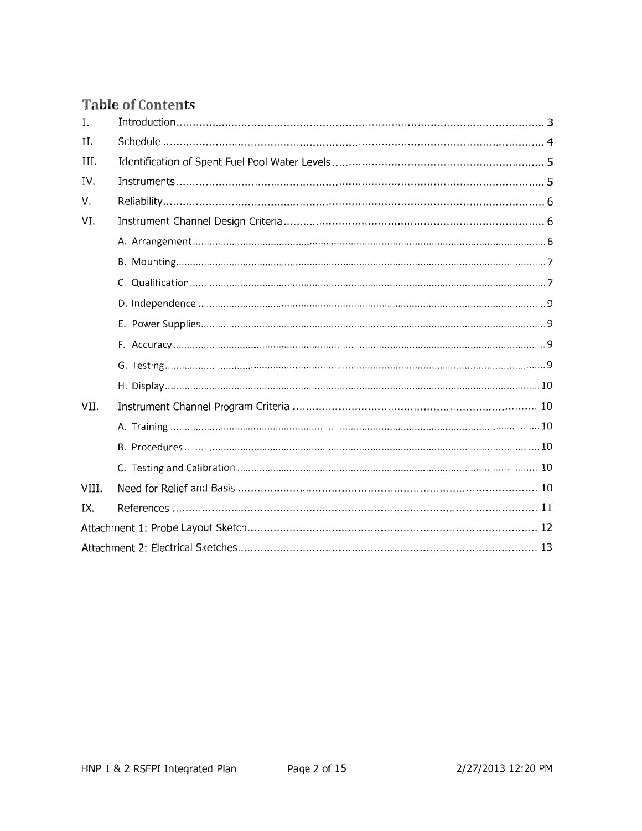## **Table of Contents**

| I.    | Introduction 1, 3 |  |  |
|-------|-------------------|--|--|
| II.   |                   |  |  |
| III.  |                   |  |  |
| IV.   | Instruments1      |  |  |
| V.    |                   |  |  |
| VI.   |                   |  |  |
|       |                   |  |  |
|       |                   |  |  |
|       |                   |  |  |
|       |                   |  |  |
|       |                   |  |  |
|       |                   |  |  |
|       |                   |  |  |
|       |                   |  |  |
| VII.  |                   |  |  |
|       |                   |  |  |
|       |                   |  |  |
|       |                   |  |  |
| VIII. |                   |  |  |
| IX.   |                   |  |  |
|       |                   |  |  |
|       |                   |  |  |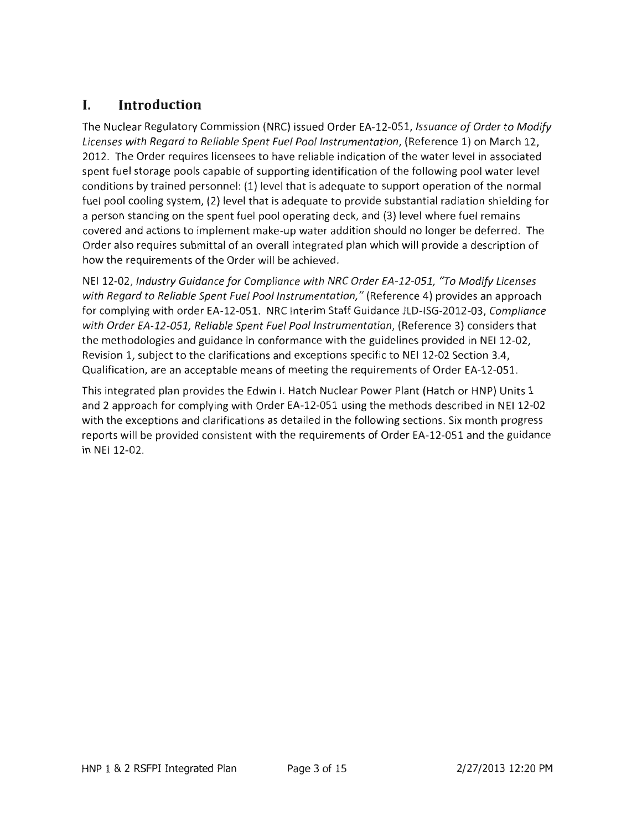## L Introduction

The Nuclear Regulatory Commission (NRC) issued Order EA-12-051, *Issuance of Order to Modify* Licenses with Regard to Reliable Spent Fuel Pool Instrumentation, (Reference 1) on March 12, 2012. The Order requires licensees to have reliable indication of the water level in associated spent fuel storage pools capable of supporting identification of the following pool water level conditions by trained personnel: (1) level that is adequate to support operation of the normal fuel pool cooling system, (2) level that is adequate to provide substantial radiation shielding for a person standing on the spent fuel pool operating deck, and (3) level where fuel remains covered and actions to implement make-up water addition should no longer be deferred. The Order also requires submittal of an overall integrated plan which will provide a description of how the requirements of the Order will be achieved.

NEI 12-02, Industry Guidance for Compliance with NRC Order EA-12-051, "To Modify Licenses with Regard to Reliable Spent Fuel Pool Instrumentation," (Reference 4) provides an approach for complying with order EA-12-051. NRC Interim Staff Guidance JLD-ISG-2012-03, Compliance with Order EA-12-051, Reliable Spent Fuel Pool Instrumentation, (Reference 3) considers that the methodologies and guidance in conformance with the guidelines provided in NEI 12-02, Revision 1, subject to the clarifications and exceptions specific to NEI 12-02 Section 3.4, Qualification, are an acceptable means of meeting the requirements of Order EA-12-051.

This integrated plan provides the Edwin I. Hatch Nuclear Power Plant (Hatch or HNP) Units 1 and 2 approach for complying with Order EA-12-051 using the methods described in NEI 12-02 with the exceptions and clarifications as detailed in the following sections. Six month progress reports will be provided consistent with the requirements of Order EA-12-051 and the guidance in NEI 12-02.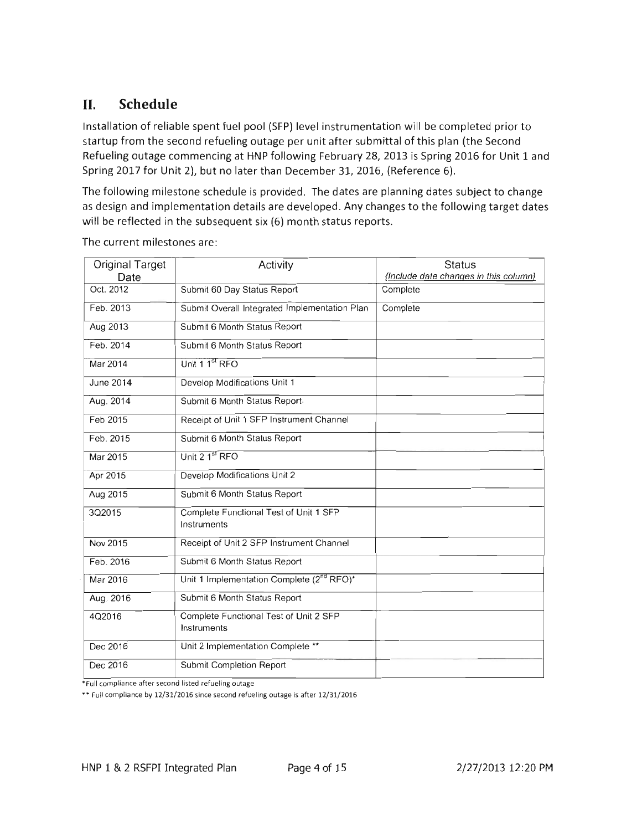## **II. Schedule**

Installation of reliable spent fuel pool (SFP) level instrumentation will be completed prior to startup from the second refueling outage per unit after submittal of this plan (the Second Refueling outage commencing at HNP following February 28,2013 is Spring 2016 for Unit 1 and Spring 2017 for Unit 2), but no later than December 31,2016, (Reference 6).

The following milestone schedule is provided. The dates are planning dates subject to change as design and implementation details are developed. Any changes to the following target dates will be reflected in the subsequent six (6) month status reports.

| <b>Original Target</b><br>Date | Activity                                              | <b>Status</b><br>{Include date changes in this column} |
|--------------------------------|-------------------------------------------------------|--------------------------------------------------------|
| Oct. 2012                      | Submit 60 Day Status Report                           | Complete                                               |
|                                |                                                       |                                                        |
| Feb. 2013                      | Submit Overall Integrated Implementation Plan         | Complete                                               |
| Aug 2013                       | Submit 6 Month Status Report                          |                                                        |
| Feb. 2014                      | Submit 6 Month Status Report                          |                                                        |
| Mar 2014                       | Unit 1 1 <sup>st</sup> RFO                            |                                                        |
| June 2014                      | Develop Modifications Unit 1                          |                                                        |
| Aug. 2014                      | Submit 6 Month Status Report-                         |                                                        |
| Feb 2015                       | Receipt of Unit 1 SFP Instrument Channel              |                                                        |
| Feb. 2015                      | Submit 6 Month Status Report                          |                                                        |
| Mar 2015                       | Unit 2 1st RFO                                        |                                                        |
| Apr 2015                       | Develop Modifications Unit 2                          |                                                        |
| Aug 2015                       | Submit 6 Month Status Report                          |                                                        |
| 3Q2015                         | Complete Functional Test of Unit 1 SFP<br>Instruments |                                                        |
| Nov 2015                       | Receipt of Unit 2 SFP Instrument Channel              |                                                        |
| Feb. 2016                      | Submit 6 Month Status Report                          |                                                        |
| Mar 2016                       | Unit 1 Implementation Complete (2 <sup>nd</sup> RFO)* |                                                        |
| Aug. 2016                      | Submit 6 Month Status Report                          |                                                        |
| 4Q2016                         | Complete Functional Test of Unit 2 SFP<br>Instruments |                                                        |
| Dec 2016                       | Unit 2 Implementation Complete **                     |                                                        |
| Dec 2016                       | Submit Completion Report                              |                                                        |

The current milestones are:

'Full compliance after second listed refuelmg outage

•• Full compliance by 12/31/2016 since second refueling outage is after 12/31/2016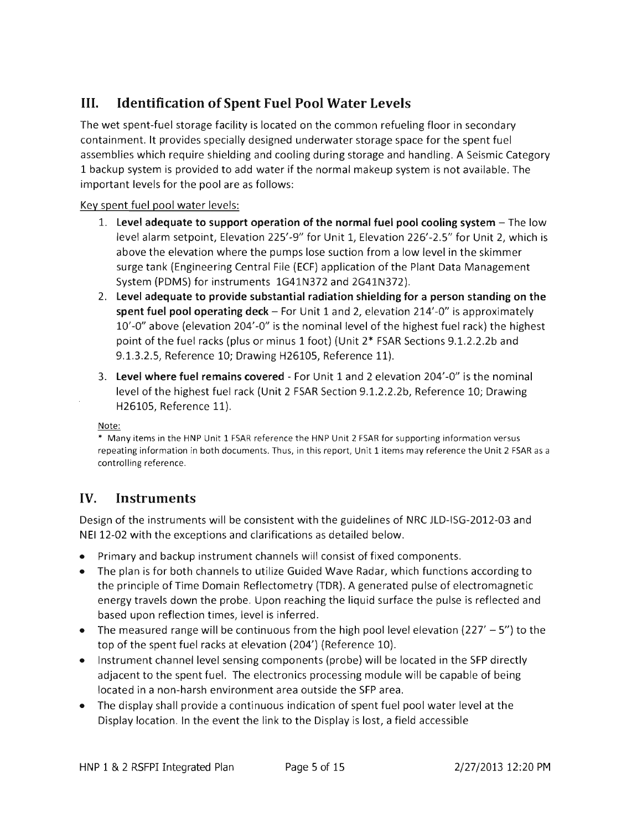## III. Identification of Spent Fuel Pool Water Levels

The wet spent-fuel storage facility is located on the common refueling floor in secondary containment. It provides specially designed underwater storage space for the spent fuel assemblies which require shielding and cooling during storage and handling. A Seismic Category 1 backup system is provided to add water if the normal makeup system is not available. The important levels for the pool are as follows:

#### Key spent fuel pool water levels:

- 1. Level adequate to support operation of the normal fuel pool cooling system  $-$  The low level alarm setpoint, Elevation 225'-9" for Unit 1, Elevation 226'-2.5" for Unit 2, which is above the elevation where the pumps lose suction from a low level in the skimmer surge tank (Engineering Central File (ECF) application of the Plant Data Management System (PDMS) for instruments 1G41N372 and 2G41N372).
- 2. Level adequate to provide substantial radiation shielding for a person standing on the spent fuel pool operating  $\text{deck}$  – For Unit 1 and 2, elevation 214'-0" is approximately 10'-0" above (elevation 204'-0" is the nominal level of the highest fuel rack) the highest point of the fuel racks (plus or minus 1 foot) (Unit 2\* FSAR Sections 9.1.2.2.2b and 9.1.3.2.5, Reference 10; Drawing H26105, Reference 11).
- 3. Level where fuel remains covered For Unit 1 and 2 elevation 204'-0" is the nominal level of the highest fuel rack (Unit 2 FSAR Section 9.1.2.2.2b, Reference 10; Drawing H26105, Reference 11).

Note:

\* Many items in the HNP Unit 1 FSAR reference the HNP Unit 2 FSAR for supporting information versus repeating information in both documents. Thus, in this report, Unit 1 items may reference the Unit 2 FSAR as a controlling reference.

## IV. Instruments

Design of the instruments will be consistent with the guidelines of NRC JLD-ISG-2012-03 and NEI 12-02 with the exceptions and clarifications as detailed below.

- Primary and backup instrument channels will consist of fixed components.
- The plan is for both channels to utilize Guided Wave Radar, which functions according to the principle of Time Domain Reflectometry (TDR). A generated pulse of electromagnetic energy travels down the probe. Upon reaching the liquid surface the pulse is reflected and based upon reflection times, level is inferred.
- The measured range will be continuous from the high pool level elevation (227'  $-5$ ") to the top of the spent fuel racks at elevation (204') (Reference 10).
- Instrument channel level sensing components (probe) will be located in the SFP directly adjacent to the spent fuel. The electronics processing module will be capable of being located in a non-harsh environment area outside the SFP area.
- The display shall provide a continuous indication of spent fuel pool water level at the Display location. In the event the link to the Display is lost, a field accessible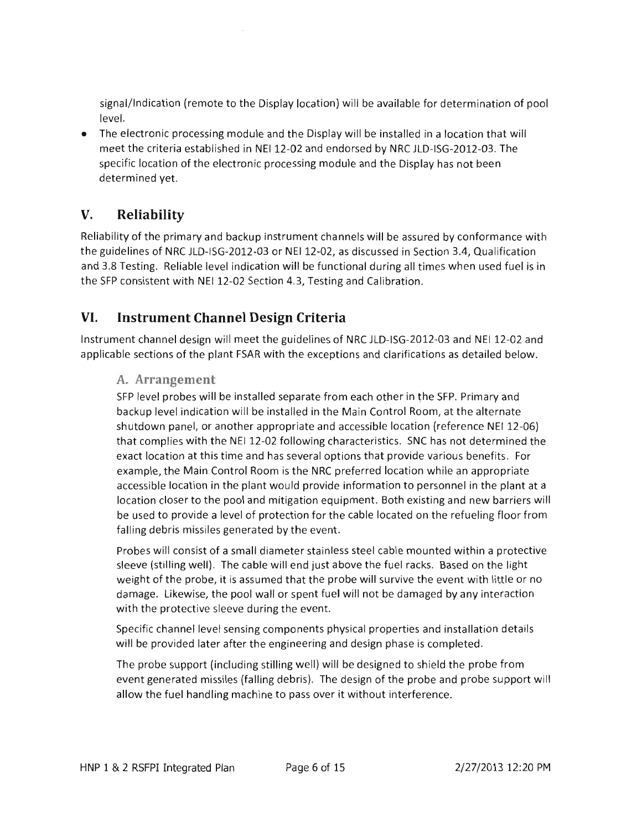signal/Indication (remote to the Display location) will be available for determination of pool level.

• The electronic processing module and the Display will be installed in a location that will meet the criteria established in NE112-02 and endorsed by NRC JLD-ISG-2012-03. The specific location of the electronic processing module and the Display has not been determined yet.

## **V. Reliability**

Reliability of the primary and backup instrument channels will be assured by conformance with the guidelines of NRC JLD-ISG-2012-03 or NE112-02, as discussed in Section 3.4, Qualification and 3.8 Testing. Reliable level indication will be functional during all times when used fuel is in the SFP consistent with NE112-02 Section 4.3, Testing and Calibration.

### **VI. Instrument Channel Design Criteria**

Instrument channel design will meet the guidelines of NRC JLD-ISG-2012-03 and NE112-02 and applicable sections of the plant FSAR with the exceptions and clarifications as detailed below.

**A. Arrangement** 

SFP level probes will be installed separate from each other in the SFP. Primary and backup level indication will be installed in the Main Control Room, at the alternate shutdown panel, or another appropriate and accessible location (reference NEI 12-06) that complies with the NE112-02 following characteristics. SNC has not determined the exact location at this time and has several options that provide various benefits . For example, the Main Control Room is the NRC preferred location while an appropriate accessible location in the plant would provide information to personnel in the plant at a location closer to the pool and mitigation equipment. Both existing and new barriers will be used to provide a level of protection for the cable located on the refueling floor from falling debris missiles generated by the event.

Probes will consist of a small diameter stainless steel cable mounted within a protective sleeve (stilling well). The cable will end just above the fuel racks. Based on the light weight of the probe, it is assumed that the probe will survive the event with little or no damage. Likewise, the pool wall or spent fuel will not be damaged by any interaction with the protective sleeve during the event.

Specific channel level sensing components physical properties and installation details will be provided later after the engineering and design phase is completed.

The probe support (including stilling well) will be designed to shield the probe from event generated missiles (falling debris). The design of the probe and probe support will allow the fuel handling machine to pass over it without interference.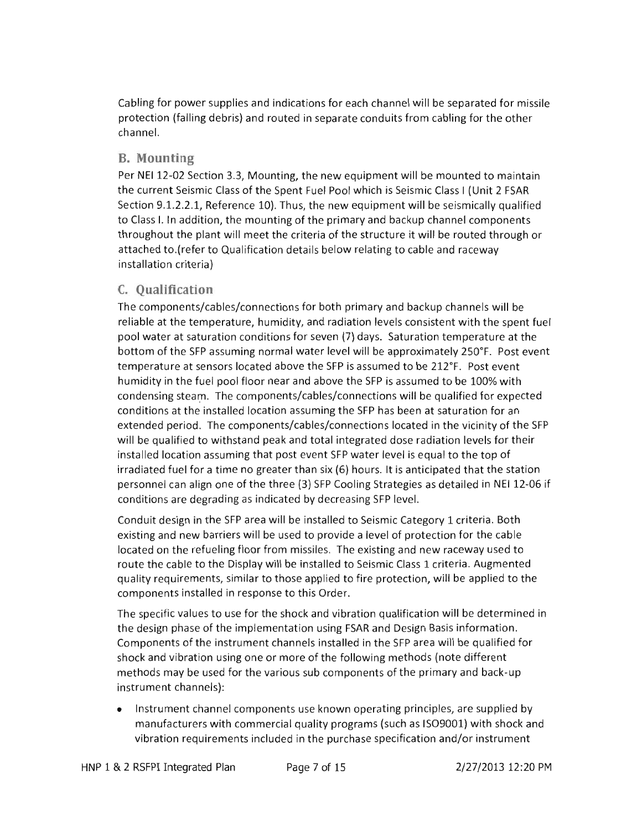Cabling for power supplies and indications for each channel will be separated for missile protection (falling debris) and routed in separate conduits from cabling for the other channel.

#### **B. Mounting**

Per NEI 12-02 Section 3.3, Mounting, the new equipment will be mounted to maintain the current Seismic Class of the Spent Fuel Pool which is Seismic Class I (Unit 2 FSAR Section 9.1.2.2.1, Reference 10). Thus, the new equipment will be seismically qualified to Class I. In addition, the mounting of the primary and backup channel components throughout the plant will meet the criteria of the structure it will be routed through or attached to.(refer to Qualification details below relating to cable and raceway installation criteria)

#### c. **Qualification**

The components/cables/connections for both primary and backup channels will be reliable at the temperature, humidity, and radiation levels consistent with the spent fuel pool water at saturation conditions for seven (7) days. Saturation temperature at the bottom of the SFP assuming normal water level will be approximately 250°F. Post event temperature at sensors located above the SFP is assumed to be 212°F. Post event humidity in the fuel pool floor near and above the SFP is assumed to be 100% with condensing steam. The components/cables/connections will be qualified for expected conditions at the installed location assuming the SFP has been at saturation for an extended period. The components/cables/connections located in the vicinity of the SFP will be qualified to withstand peak and total integrated dose radiation levels for their installed location assuming that post event SFP water level is equal to the top of irradiated fuel for a time no greater than six (6) hours. It is anticipated that the station personnel can align one of the three (3) SFP Cooling Strategies as detailed in NE112-06 if conditions are degrading as indicated by decreasing SFP level.

Conduit design in the SFP area will be installed to Seismic Category 1 criteria. Both existing and new barriers will be used to provide a level of protection for the cable located on the refueling floor from missiles. The existing and new raceway used to route the cable to the Display will be installed to Seismic Class 1 criteria. Augmented quality requirements, similar to those applied to fire protection, will be applied to the components installed in response to this Order.

The specific values to use for the shock and vibration qualification will be determined in the design phase of the implementation using FSAR and Design Basis information. Components of the instrument channels installed in the SFP area will be qualified for shock and vibration using one or more of the following methods (note different methods may be used for the various sub components of the primary and back-up instrument channels):

Instrument channel components use known operating principles, are supplied by manufacturers with commercial quality programs (such as 1509001) with shock and vibration requirements included in the purchase specification and/or instrument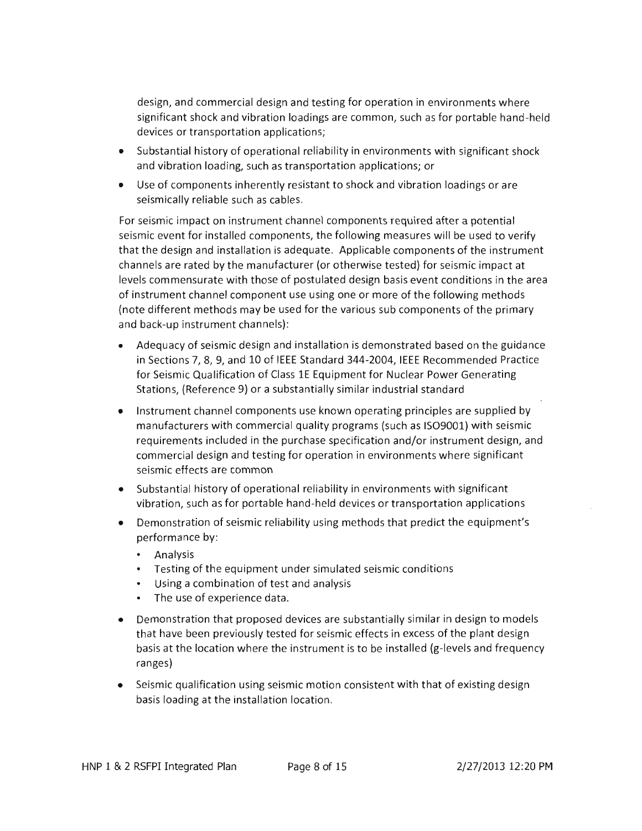design, and commercial design and testing for operation in environments where significant shock and vibration loadings are common, such as for portable hand-held devices or transportation applications;

- Substantial history of operational reliability in environments with significant shock and vibration loading, such as transportation applications; or
- Use of components inherently resistant to shock and vibration loadings or are seismically reliable such as cables.

For seismic impact on instrument channel components required after a potential seismic event for installed components, the following measures will be used to verify that the design and installation is adequate. Applicable components of the instrument channels are rated by the manufacturer (or otherwise tested) for seismic impact at levels commensurate with those of postulated design basis event conditions in the area of instrument channel component use using one or more of the following methods (note different methods may be used for the various sub components of the primary and back-up instrument channels):

- Adequacy of seismic design and installation is demonstrated based on the guidance in Sections 7, 8, 9, and 10 of IEEE Standard 344-2004, IEEE Recommended Practice for Seismic Qualification of Class 1E Equipment for Nuclear Power Generating Stations, (Reference 9) or a substantially similar industrial standard
- Instrument channel components use known operating principles are supplied by manufacturers with commercial quality programs (such as ISO9001) with seismic requirements included in the purchase specification and/or instrument design, and commercial design and testing for operation in environments where significant seismic effects are common
- Substantial history of operational reliability in environments with significant vibration, such as for portable hand-held devices or transportation applications
- Demonstration of seismic reliability using methods that predict the equipment's performance by:
	- Analysis
	- Testing of the equipment under simulated seismic conditions
	- Using a combination of test and analysis
	- The use of experience data.
- Demonstration that proposed devices are substantially similar in design to models that have been previously tested for seismic effects in excess of the plant design basis at the location where the instrument is to be installed (g-levels and frequency ranges)
- Seismic qualification using seismic motion consistent with that of existing design basis loading at the installation location.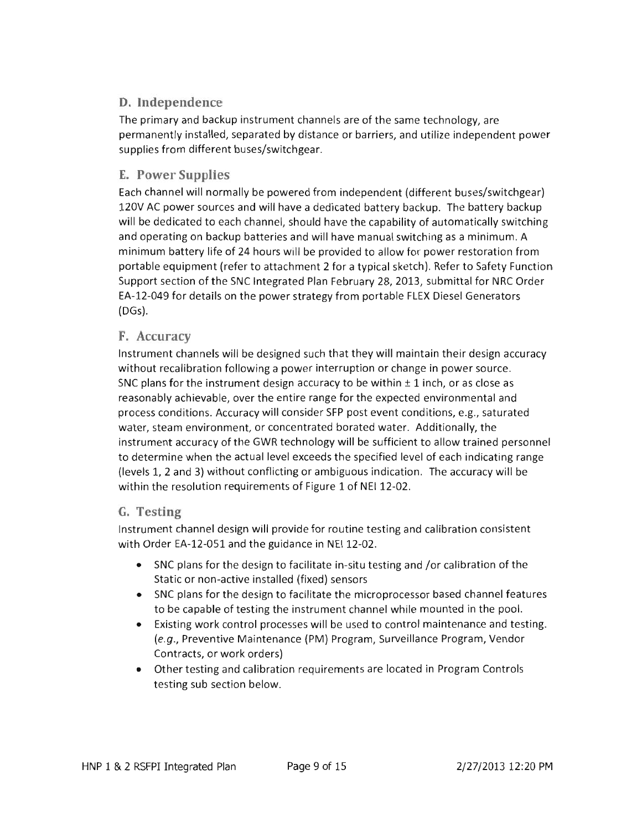## D. Independence

The primary and backup instrument channels are of the same technology, are permanently installed, separated by distance or barriers, and utilize independent power supplies from different buses/switchgear.

## E. Power Supplies

Each channel will normally be powered from independent (different buses/switchgear) 120V AC power sources and will have a dedicated battery backup. The battery backup will be dedicated to each channel, should have the capability of automatically switching and operating on backup batteries and will have manual switching as a minimum. A minimum battery life of 24 hours will be provided to allow for power restoration from portable equipment (refer to attachment 2 for a typical sketch). Refer to Safety Function Support section of the SNC Integrated Plan February 28, 2013, submittal for NRC Order EA-12-049 for details on the power strategy from portable FLEX Diesel Generators (DGs).

#### F. Accuracy

Instrument channels will be designed such that they will maintain their design accuracy without recalibration following a power interruption or change in power source. SNC plans for the instrument design accuracy to be within  $\pm$  1 inch, or as close as reasonably achievable, over the entire range for the expected environmental and process conditions. Accuracy will consider SFP post event conditions, e.g., saturated water, steam environment, or concentrated borated water. Additionally, the instrument accuracy of the GWR technology will be sufficient to allow trained personnel to determine when the actual level exceeds the specified level of each indicating range (levels 1, 2 and 3) without conflicting or ambiguous indication. The accuracy will be within the resolution requirements of Figure 1 of NEI 12-02.

### G. Testing

Instrument channel design will provide for routine testing and calibration consistent with Order EA-12-0S1 and the guidance in NEI 12-02.

- SNC plans for the design to facilitate in-situ testing and /or calibration of the Static or non-active installed (fixed) sensors
- SNC plans for the design to facilitate the microprocessor based channel features to be capable of testing the instrument channel while mounted in the pool.
- Existing work control processes will be used to control maintenance and testing. (e.g., Preventive Maintenance (PM) Program, Surveillance Program, Vendor Contracts, or work orders)
- Other testing and calibration requirements are located in Program Controls testing sub section below.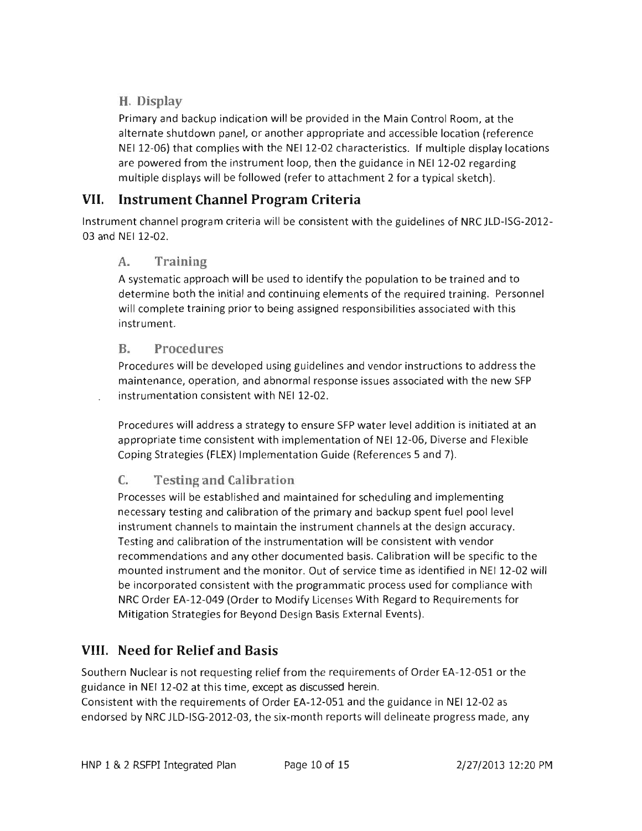### **H. Display**

Primary and backup indication will be provided in the Main Control Room, at the alternate shutdown panel, or another appropriate and accessible location (reference NEI12-06) that complies with the NE112-02 characteristics. If mUltiple display locations are powered from the instrument loop, then the guidance in NEI 12-02 regarding multiple displays will be followed (refer to attachment 2 for a typical sketch).

## **VII. Instrument Channel Program Criteria**

Instrument channel program criteria will be consistent with the guidelines of NRC JLD-ISG-2012-03 and NEI 12-02.

#### **A. Training**

A systematic approach will be used to identify the population to be trained and to determine both the initial and continuing elements of the required training. Personnel will complete training prior to being assigned responsibilities associated with this instrument.

#### **B. Procedures**

Procedures will be developed using guidelines and vendor instructions to address the maintenance, operation, and abnormal response issues associated with the new SFP instrumentation consistent with NEI 12-02.

Procedures will address a strategy to ensure SFP water level addition is initiated at an appropriate time consistent with implementation of NEI12-06, Diverse and Flexible Coping Strategies (FLEX) Implementation Guide (References 5 and 7).

## C. **Testing and Calibration**

Processes will be established and maintained for scheduling and implementing necessary testing and calibration of the primary and backup spent fuel pool level instrument channels to maintain the instrument channels at the design accuracy. Testing and calibration of the instrumentation will be consistent with vendor recommendations and any other documented basis. Calibration will be specific to the mounted instrument and the monitor. Out of service time as identified in NEI 12-02 will be incorporated consistent with the programmatic process used for compliance with NRC Order EA-12-049 (Order to Modify Licenses With Regard to Requirements for Mitigation Strategies for Beyond Design Basis External Events).

## **VIII. Need for Relief and Basis**

Southern Nuclear is not requesting relief from the requirements of Order EA-12-051 or the guidance in NE112-02 at this time, except as discussed herein.

Consistent with the requirements of Order EA-12-051 and the guidance in NE112-02 as endorsed by NRC JLD-ISG-2012-03, the six-month reports will delineate progress made, any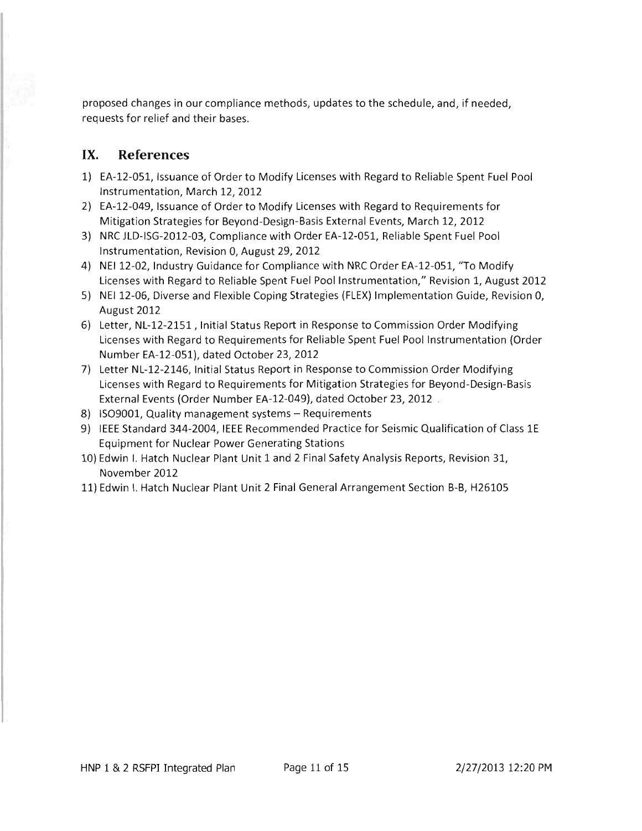proposed changes in our compliance methods, updates to the schedule, and, if needed, requests for relief and their bases.

#### **IX. References**

- 1) EA-12-051, Issuance of Order to Modify Licenses with Regard to Reliable Spent Fuel Pool Instrumentation, March 12, 2012
- 2} EA-12-049, Issuance of Order to Modify Licenses with Regard to Requirements for Mitigation Strategies for Beyond-Design-Basis External Events, March 12, 2012
- 3} NRC JLD-ISG-2012-03, Compliance with Order EA-12-051, Reliable Spent Fuel Pool Instrumentation, Revision 0, August 29,2012
- 4) NEI 12-02, Industry Guidance for Compliance with NRC Order EA-12-051, "To Modify Licenses with Regard to Reliable Spent Fuel Pool Instrumentation," Revision 1, August 2012
- 5} NE112-06, Diverse and Flexible Coping Strategies (FLEX) Implementation Guide, Revision 0, August 2012
- 6} Letter, NL-12-2151 , Initial Status Report in Response to Commission Order Modifying Licenses with Regard to Requirements for Reliable Spent Fuel Pool Instrumentation (Order Number EA-12-051), dated October 23,2012
- 7) Letter NL-12-2146, Initial Status Report in Response to Commission Order Modifying Licenses with Regard to Requirements for Mitigation Strategies for Beyond-Design-Basis External Events (Order Number EA-12-049), dated October 23,2012 .
- 8) ISO9001, Quality management systems Requirements
- 9) IEEE Standard 344-2004, IEEE Recommended Practice for Seismic Qualification of Class 1E Equipment for Nuclear Power Generating Stations
- 10} Edwin I. Hatch Nuclear Plant Unit 1 and 2 Final Safety Analysis Reports, Revision 31, November 2012
- ll} Edwin I. Hatch Nuclear Plant Unit 2 Final General Arrangement Section B-B, H26105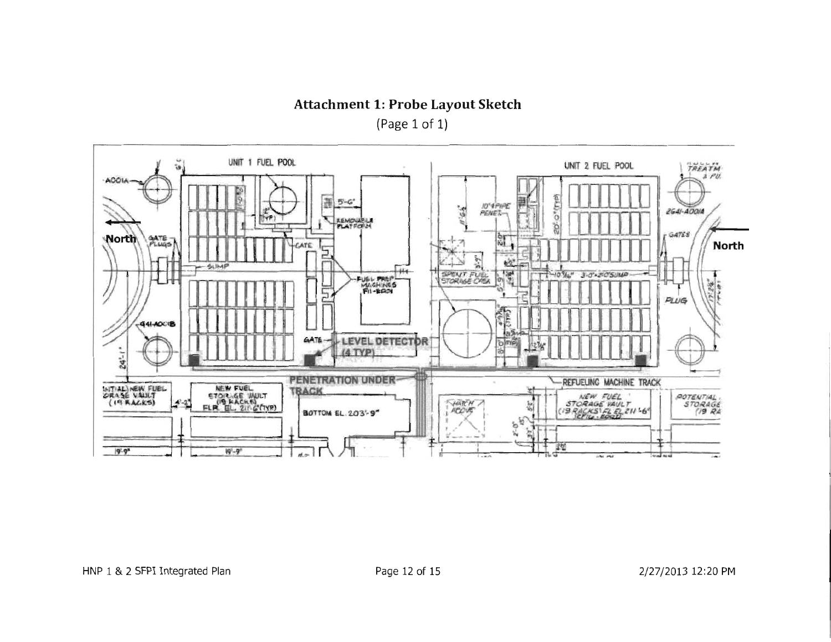**Attachment 1: Probe Layout Sketch** 

(Page 1 of 1)

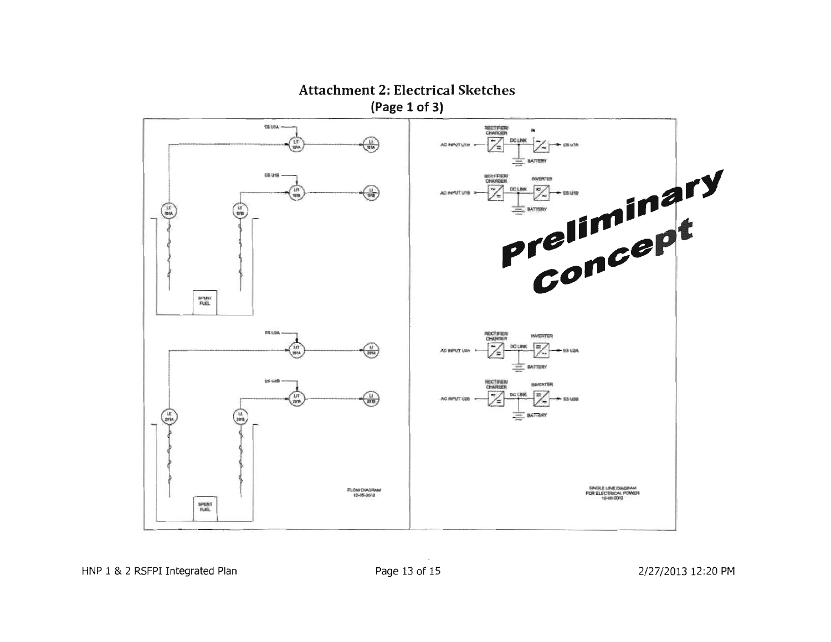

**Attachment 2: Electrical Sketches** 

HNP 1 & 2 RSFPI Integrated Plan

Page 13 of 15

2/27/2013 12:20 PM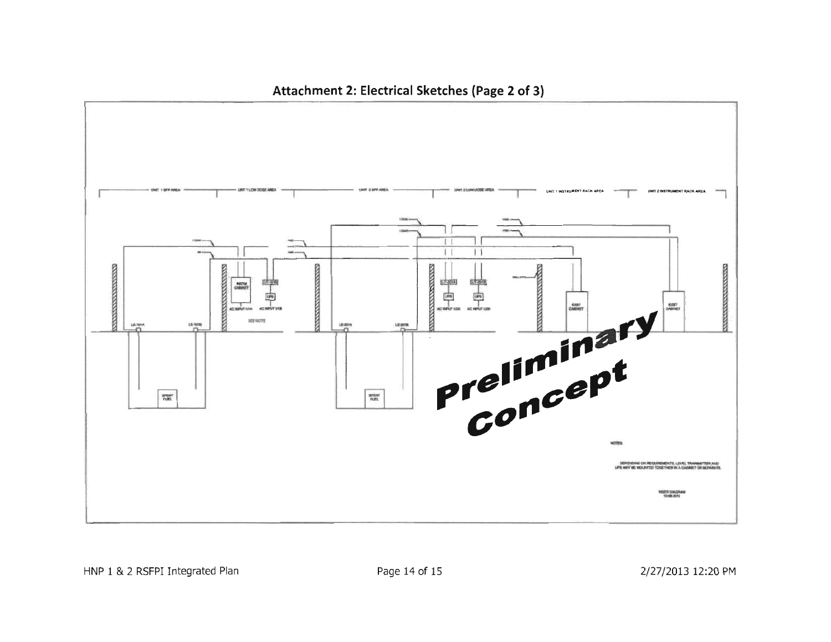